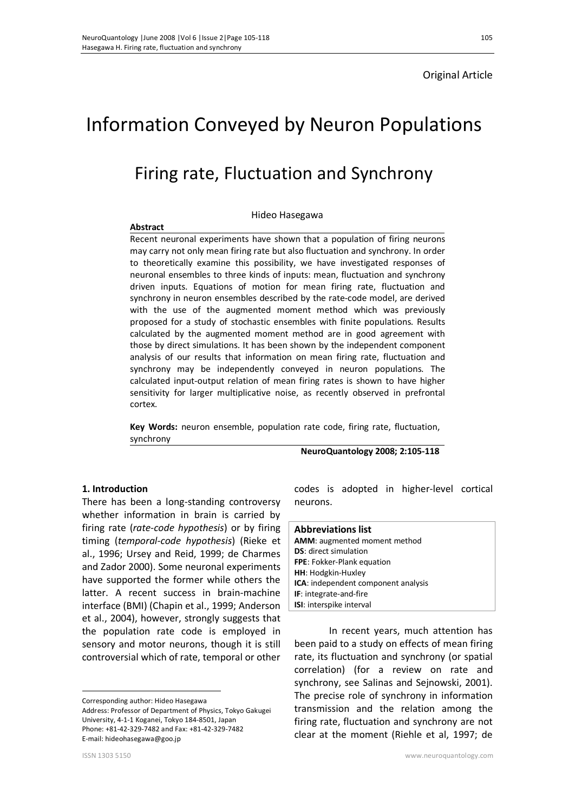### Original Article

# Information Conveyed by Neuron Populations

## Firing rate, Fluctuation and Synchrony

#### Hideo Hasegawa

### **Abstract**

Recent neuronal experiments have shown that a population of firing neurons may carry not only mean firing rate but also fluctuation and synchrony. In order to theoretically examine this possibility, we have investigated responses of neuronal ensembles to three kinds of inputs: mean, fluctuation and synchrony driven inputs. Equations of motion for mean firing rate, fluctuation and synchrony in neuron ensembles described by the rate-code model, are derived with the use of the augmented moment method which was previously proposed for a study of stochastic ensembles with finite populations. Results calculated by the augmented moment method are in good agreement with those by direct simulations. It has been shown by the independent component analysis of our results that information on mean firing rate, fluctuation and synchrony may be independently conveyed in neuron populations. The calculated input-output relation of mean firing rates is shown to have higher sensitivity for larger multiplicative noise, as recently observed in prefrontal cortex.

**Key Words:** neuron ensemble, population rate code, firing rate, fluctuation, synchrony

**NeuroQuantology 2008; 2:105-118** 

### **1. Introduction<sup>1</sup>**

There has been a long-standing controversy whether information in brain is carried by firing rate (*rate-code hypothesis*) or by firing timing (*temporal-code hypothesis*) (Rieke et al., 1996; Ursey and Reid, 1999; de Charmes and Zador 2000). Some neuronal experiments have supported the former while others the latter. A recent success in brain-machine interface (BMI) (Chapin et al., 1999; Anderson et al., 2004), however, strongly suggests that the population rate code is employed in sensory and motor neurons, though it is still controversial which of rate, temporal or other

Corresponding author: Hideo Hasegawa

Address: Professor of Department of Physics, Tokyo Gakugei University, 4-1-1 Koganei, Tokyo 184-8501, Japan Phone: +81-42-329-7482 and Fax: +81-42-329-7482 E-mail: hideohasegawa@goo.jp

 $\overline{a}$ 

codes is adopted in higher-level cortical neurons.

### **Abbreviations list AMM**: augmented moment method **DS**: direct simulation **FPE**: Fokker-Plank equation **HH**: Hodgkin-Huxley **ICA**: independent component analysis **IF**: integrate-and-fire **ISI**: interspike interval

In recent years, much attention has been paid to a study on effects of mean firing rate, its fluctuation and synchrony (or spatial correlation) (for a review on rate and synchrony, see Salinas and Sejnowski, 2001). The precise role of synchrony in information transmission and the relation among the firing rate, fluctuation and synchrony are not clear at the moment (Riehle et al, 1997; de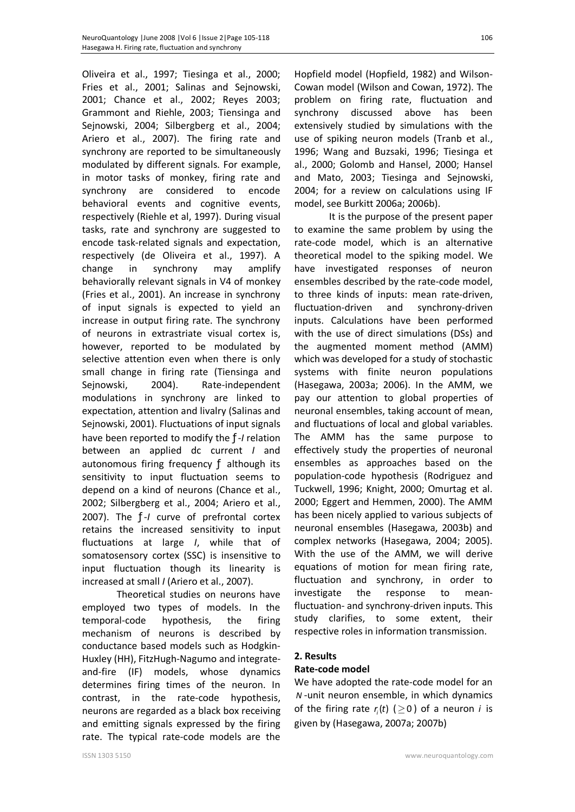Oliveira et al., 1997; Tiesinga et al., 2000; Fries et al., 2001; Salinas and Sejnowski, 2001; Chance et al., 2002; Reyes 2003; Grammont and Riehle, 2003; Tiensinga and Sejnowski, 2004; Silbergberg et al., 2004; Ariero et al., 2007). The firing rate and synchrony are reported to be simultaneously modulated by different signals. For example, in motor tasks of monkey, firing rate and synchrony are considered to encode behavioral events and cognitive events, respectively (Riehle et al, 1997). During visual tasks, rate and synchrony are suggested to encode task-related signals and expectation, respectively (de Oliveira et al., 1997). A change in synchrony may amplify behaviorally relevant signals in V4 of monkey (Fries et al., 2001). An increase in synchrony of input signals is expected to yield an increase in output firing rate. The synchrony of neurons in extrastriate visual cortex is, however, reported to be modulated by selective attention even when there is only small change in firing rate (Tiensinga and Sejnowski, 2004). Rate-independent modulations in synchrony are linked to expectation, attention and livalry (Salinas and Sejnowski, 2001). Fluctuations of input signals have been reported to modify the ƒ-*I* relation between an applied dc current *I* and autonomous firing frequency  $f$  although its sensitivity to input fluctuation seems to depend on a kind of neurons (Chance et al., 2002; Silbergberg et al., 2004; Ariero et al., 2007). The ƒ-*I* curve of prefrontal cortex retains the increased sensitivity to input fluctuations at large *I*, while that of somatosensory cortex (SSC) is insensitive to input fluctuation though its linearity is increased at small *I* (Ariero et al., 2007).

Theoretical studies on neurons have employed two types of models. In the temporal-code hypothesis, the firing mechanism of neurons is described by conductance based models such as Hodgkin-Huxley (HH), FitzHugh-Nagumo and integrateand-fire (IF) models, whose dynamics determines firing times of the neuron. In contrast, in the rate-code hypothesis, neurons are regarded as a black box receiving and emitting signals expressed by the firing rate. The typical rate-code models are the

Hopfield model (Hopfield, 1982) and Wilson-Cowan model (Wilson and Cowan, 1972). The problem on firing rate, fluctuation and synchrony discussed above has been extensively studied by simulations with the use of spiking neuron models (Tranb et al., 1996; Wang and Buzsaki, 1996; Tiesinga et al., 2000; Golomb and Hansel, 2000; Hansel and Mato, 2003; Tiesinga and Sejnowski, 2004; for a review on calculations using IF model, see Burkitt 2006a; 2006b).

It is the purpose of the present paper to examine the same problem by using the rate-code model, which is an alternative theoretical model to the spiking model. We have investigated responses of neuron ensembles described by the rate-code model, to three kinds of inputs: mean rate-driven, fluctuation-driven and synchrony-driven inputs. Calculations have been performed with the use of direct simulations (DSs) and the augmented moment method (AMM) which was developed for a study of stochastic systems with finite neuron populations (Hasegawa, 2003a; 2006). In the AMM, we pay our attention to global properties of neuronal ensembles, taking account of mean, and fluctuations of local and global variables. The AMM has the same purpose to effectively study the properties of neuronal ensembles as approaches based on the population-code hypothesis (Rodriguez and Tuckwell, 1996; Knight, 2000; Omurtag et al. 2000; Eggert and Hemmen, 2000). The AMM has been nicely applied to various subjects of neuronal ensembles (Hasegawa, 2003b) and complex networks (Hasegawa, 2004; 2005). With the use of the AMM, we will derive equations of motion for mean firing rate, fluctuation and synchrony, in order to investigate the response to meanfluctuation- and synchrony-driven inputs. This study clarifies, to some extent, their respective roles in information transmission.

### **2. Results**

### **Rate-code model**

We have adopted the rate-code model for an *N* -unit neuron ensemble, in which dynamics of the firing rate  $r_i(t)$  ( $\geq$ 0) of a neuron *i* is given by (Hasegawa, 2007a; 2007b)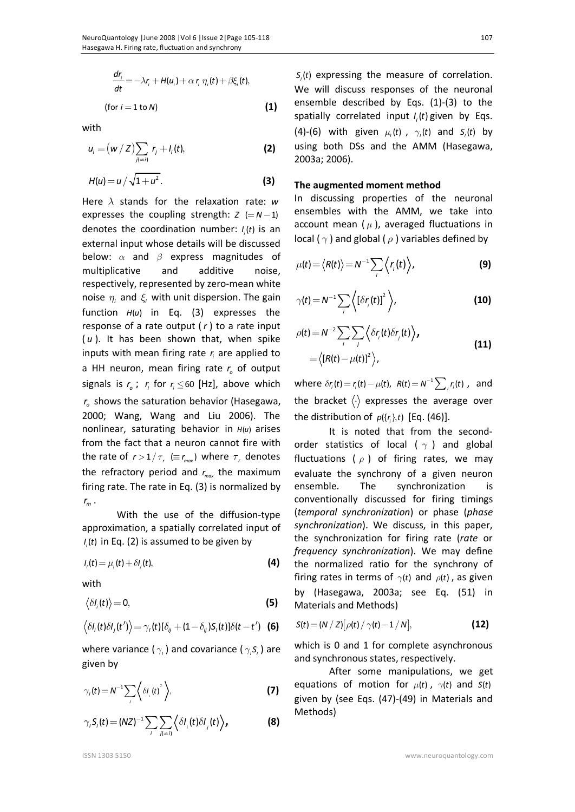$$
\frac{dr_i}{dt} = -\lambda r_i + H(u_i) + \alpha r_i \eta_i(t) + \beta \xi_i(t),
$$
  
(for  $i = 1$  to N) (1)

with

$$
u_i = (w / Z) \sum_{j(\neq i)} r_j + l_i(t),
$$
 (2)

$$
H(u) = u / \sqrt{1 + u^2}.
$$
 (3)

Here  $\lambda$  stands for the relaxation rate:  $w$ expresses the coupling strength:  $Z (= N - 1)$ denotes the coordination number:  $I_i(t)$  is an external input whose details will be discussed below:  $\alpha$  and  $\beta$  express magnitudes of multiplicative and additive noise, respectively, represented by zero-mean white noise  $\eta_i$  and  $\xi_i$  with unit dispersion. The gain function  $H(u)$  in Eq. (3) expresses the response of a rate output ( *r* ) to a rate input ( *u* ). It has been shown that, when spike inputs with mean firing rate  $r_i$  are applied to a HH neuron, mean firing rate  $r_o$  of output signals is  $r_o$ ;  $r_i$  for  $r_i \leq 60$  [Hz], above which *o r* shows the saturation behavior (Hasegawa, 2000; Wang, Wang and Liu 2006). The nonlinear, saturating behavior in  $H(u)$  arises from the fact that a neuron cannot fire with the rate of  $r > 1/\tau_r \ (\equiv r_{max})$  where  $\tau_r$  denotes the refractory period and  $r_{\text{max}}$  the maximum firing rate. The rate in Eq. (3) is normalized by *m r* .

With the use of the diffusion-type approximation, a spatially correlated input of  $I_i(t)$  in Eq. (2) is assumed to be given by

 $I_i(t) = \mu_i(t) + \delta I_i(t),$  (4)

with

$$
\langle \delta l_i(t) \rangle = 0, \tag{5}
$$

$$
\langle \delta I_i(t) \delta I_j(t') \rangle = \gamma_i(t) [\delta_{ij} + (1 - \delta_{ij}) S_i(t)] \delta(t - t')
$$
 (6)

where variance ( $\gamma$ <sub>*i*</sub>) and covariance ( $\gamma$ <sub>*,S<sub>i</sub>*) are</sub> given by

$$
\gamma_{i}(t) = N^{-1} \sum_{i} \left\langle \delta I_{i}(t)^{2} \right\rangle, \tag{7}
$$

$$
\gamma_i S_i(t) = (NZ)^{-1} \sum_i \sum_{j(\neq i)} \left\langle \delta I_j(t) \delta I_j(t) \right\rangle, \tag{8}
$$

 $S_i(t)$  expressing the measure of correlation. We will discuss responses of the neuronal ensemble described by Eqs. (1)-(3) to the spatially correlated input  $I_i(t)$  given by Eqs. (4)-(6) with given  $\mu_i(t)$ ,  $\gamma_i(t)$  and  $S_i(t)$  by using both DSs and the AMM (Hasegawa, 2003a; 2006).

### **The augmented moment method**

In discussing properties of the neuronal ensembles with the AMM, we take into account mean  $(\mu)$ , averaged fluctuations in local ( $\gamma$ ) and global ( $\rho$ ) variables defined by

$$
\mu(t) = \langle R(t) \rangle = N^{-1} \sum_{i} \langle r_{i}(t) \rangle,
$$
 (9)

$$
\gamma(t) = N^{-1} \sum_{i} \left\langle \left[ \delta r_{i}(t) \right]^{2} \right\rangle, \tag{10}
$$

$$
\rho(t) = N^{-2} \sum_{i} \sum_{j} \left\langle \delta r_{i}(t) \delta r_{j}(t) \right\rangle,
$$
  
=  $\left\langle [R(t) - \mu(t)]^{2} \right\rangle,$  (11)

where  $\delta r_i(t) = r_i(t) - \mu(t)$ ,  $R(t) = N^{-1} \sum_i r_i(t)$ , and the bracket  $\langle \cdot \rangle$  expresses the average over the distribution of  $p({r_i},t)$  [Eq. (46)].

It is noted that from the secondorder statistics of local ( $\gamma$ ) and global fluctuations ( $\rho$ ) of firing rates, we may evaluate the synchrony of a given neuron ensemble. The synchronization is conventionally discussed for firing timings (*temporal synchronization*) or phase (*phase synchronization*). We discuss, in this paper, the synchronization for firing rate (*rate* or *frequency synchronization*). We may define the normalized ratio for the synchrony of firing rates in terms of  $\gamma(t)$  and  $\rho(t)$ , as given by (Hasegawa, 2003a; see Eq. (51) in Materials and Methods)

$$
S(t) = (N / Z) [\rho(t) / \gamma(t) - 1 / N],
$$
 (12)

which is 0 and 1 for complete asynchronous and synchronous states, respectively.

After some manipulations, we get equations of motion for  $\mu(t)$ ,  $\gamma(t)$  and  $S(t)$ given by (see Eqs. (47)-(49) in Materials and Methods)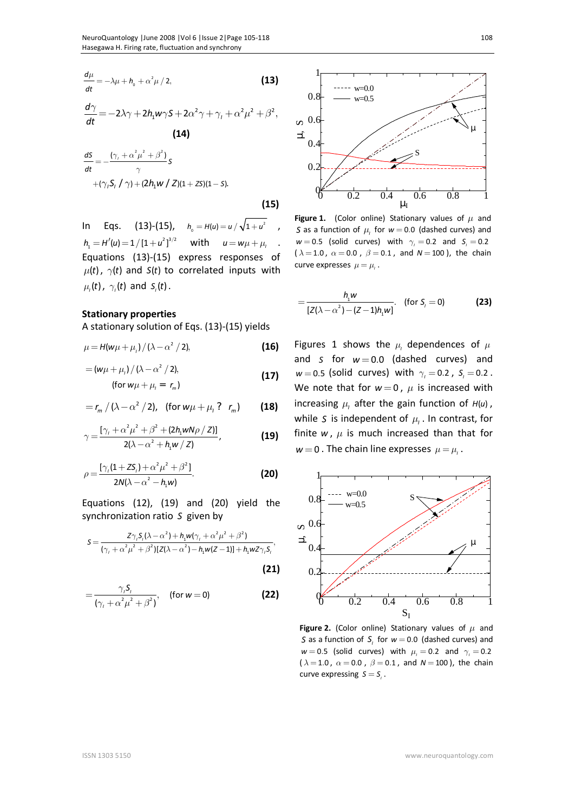$$
\frac{d\mu}{dt} = -\lambda\mu + h_{0} + \alpha^{2}\mu/2,
$$
 (13)

$$
\frac{d\gamma}{dt} = -2\lambda\gamma + 2h_1w\gamma S + 2\alpha^2\gamma + \gamma_t + \alpha^2\mu^2 + \beta^2,
$$
\n(14)

$$
\frac{dS}{dt} = -\frac{(\gamma_{1} + \alpha^{2} \mu^{2} + \beta^{2})}{\gamma} S
$$
  
+  $(\gamma_{1} S_{1} / \gamma) + (2h_{1} w / Z)(1 + ZS)(1 - S).$ 

 **(15)** 

In Eqs. (13)-(15),  $h_0 = H(u) = u / \sqrt{1 + u^2}$ ,  $h_1 = H'(u) = 1/[1+u^2]^{3/2}$  with  $u = w\mu + \mu$ with  $u = w\mu + \mu$ , . Equations (13)-(15) express responses of  $\mu(t)$ ,  $\gamma(t)$  and *S*(*t*) to correlated inputs with  $\mu_t(t)$ ,  $\gamma_t(t)$  and  $S_t(t)$ .

### **Stationary properties**

A stationary solution of Eqs. (13)-(15) yields

$$
\mu = H(w\mu + \mu_i) / (\lambda - \alpha^2 / 2),
$$
 (16)

$$
= (w\mu + \mu_i) / (\lambda - \alpha^2 / 2),
$$
  
(for  $w\mu + \mu_i = r_m$ ) (17)

$$
= r_m / (\lambda - \alpha^2 / 2), \text{ (for } w\mu + \mu_i ? \ r_m)
$$
 (18)

$$
\gamma = \frac{\left[\gamma_{\scriptscriptstyle I} + \alpha^2 \mu^2 + \beta^2 + (2h_1 w N \rho / Z)\right]}{2(\lambda - \alpha^2 + h_1 w / Z)},
$$
\n(19)

$$
\rho = \frac{[\gamma_{1}(1+ZS_{1}) + \alpha^{2} \mu^{2} + \beta^{2}]}{2N(\lambda - \alpha^{2} - h_{1}w)}.
$$
 (20)

Equations (12), (19) and (20) yield the synchronization ratio *S* given by

$$
S = \frac{Z\gamma_1 S_1(\lambda - \alpha^2) + h_1 w(\gamma_1 + \alpha^2 \mu^2 + \beta^2)}{(\gamma_1 + \alpha^2 \mu^2 + \beta^2)[Z(\lambda - \alpha^2) - h_1 w(Z - 1)] + h_1 w Z \gamma_1 S_1},
$$
\n(21)

$$
=\frac{\gamma_{i}\mathsf{S}_{i}}{(\gamma_{i}+\alpha^{2}\mu^{2}+\beta^{2})},\quad\text{(for }w=0\text{)}\tag{22}
$$



**Figure 1.** (Color online) Stationary values of  $\mu$  and *S* as a function of  $\mu$ <sub>*I*</sub> for  $w = 0.0$  (dashed curves) and  $w = 0.5$  (solid curves) with  $\gamma_i = 0.2$  and  $S_i = 0.2$ ( $\lambda = 1.0$ ,  $\alpha = 0.0$ ,  $\beta = 0.1$ , and  $N = 100$ ), the chain curve expresses  $\mu = \mu_{\mu}$ .

$$
= \frac{h_1 w}{[Z(\lambda - \alpha^2) - (Z - 1)h_1 w]}.
$$
 (for  $S_i = 0$ ) (23)

Figures 1 shows the  $\mu$ <sup>*I*</sup> dependences of  $\mu$ and *S* for  $w = 0.0$  (dashed curves) and  $w = 0.5$  (solid curves) with  $\gamma_i = 0.2$ ,  $S_i = 0.2$ . We note that for  $w = 0$ ,  $\mu$  is increased with increasing  $\mu$ <sup>*I*</sup> after the gain function of  $H(u)$ , while S is independent of  $\mu$ , In contrast, for finite  $w$ ,  $\mu$  is much increased than that for  $w = 0$ . The chain line expresses  $\mu = \mu_{\mu}$ .



**Figure 2.** (Color online) Stationary values of  $\mu$  and *S* as a function of  $S$ , for  $w = 0.0$  (dashed curves) and  $w = 0.5$  (solid curves) with  $\mu_{i} = 0.2$  and  $\gamma_{i} = 0.2$  $(\lambda = 1.0, \ \alpha = 0.0, \ \beta = 0.1, \text{ and } N = 100)$ , the chain curve expressing  $S = S$ <sub>,</sub>.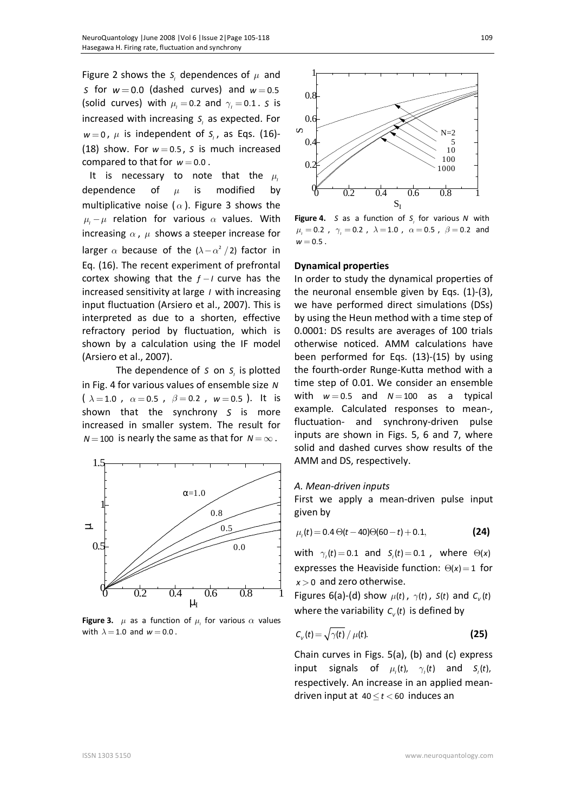Figure 2 shows the  $S<sub>i</sub>$  dependences of  $\mu$  and *S* for  $w = 0.0$  (dashed curves) and  $w = 0.5$ (solid curves) with  $\mu_i = 0.2$  and  $\gamma_i = 0.1$ . *S* is increased with increasing  $S<sub>i</sub>$  as expected. For  $w = 0$ ,  $\mu$  is independent of  $S$ ,, as Eqs. (16)-(18) show. For  $w = 0.5$ , *S* is much increased compared to that for  $w = 0.0$ .

It is necessary to note that the  $\mu$ dependence of  $\mu$  is modified by multiplicative noise ( $\alpha$ ). Figure 3 shows the  $\mu_l - \mu$  relation for various  $\alpha$  values. With increasing  $\alpha$ ,  $\mu$  shows a steeper increase for larger  $\alpha$  because of the  $(\lambda - \alpha^2 / 2)$  factor in Eq. (16). The recent experiment of prefrontal cortex showing that the  $f - I$  curve has the increased sensitivity at large *I* with increasing input fluctuation (Arsiero et al., 2007). This is interpreted as due to a shorten, effective refractory period by fluctuation, which is shown by a calculation using the IF model (Arsiero et al., 2007).

The dependence of *S* on *S*<sub>*i*</sub> is plotted in Fig. 4 for various values of ensemble size *N*  $(\lambda = 1.0$ ,  $\alpha = 0.5$ ,  $\beta = 0.2$ ,  $w = 0.5$ ). It is shown that the synchrony *S* is more increased in smaller system. The result for  $N = 100$  is nearly the same as that for  $N = \infty$ .



**Figure 3.**  $\mu$  as a function of  $\mu$ , for various  $\alpha$  values with  $\lambda = 1.0$  and  $w = 0.0$ .



**Figure 4.** S as a function of S<sub>i</sub> for various N with  $\mu_{i} = 0.2$  ,  $\gamma_{i} = 0.2$  ,  $\lambda = 1.0$  ,  $\alpha = 0.5$  ,  $\beta = 0.2$  and  $w = 0.5$ .

### **Dynamical properties**

In order to study the dynamical properties of the neuronal ensemble given by Eqs. (1)-(3), we have performed direct simulations (DSs) by using the Heun method with a time step of 0.0001: DS results are averages of 100 trials otherwise noticed. AMM calculations have been performed for Eqs. (13)-(15) by using the fourth-order Runge-Kutta method with a time step of 0.01. We consider an ensemble with  $w = 0.5$  and  $N = 100$  as a typical example. Calculated responses to mean-, fluctuation- and synchrony-driven pulse inputs are shown in Figs. 5, 6 and 7, where solid and dashed curves show results of the AMM and DS, respectively.

#### *A. Mean-driven inputs*

First we apply a mean-driven pulse input given by

$$
\mu_{t}(t) = 0.4 \Theta(t - 40) \Theta(60 - t) + 0.1, \tag{24}
$$

with  $\gamma_i(t) = 0.1$  and  $S_i(t) = 0.1$ , where  $\Theta(x)$ expresses the Heaviside function:  $\Theta(x) = 1$  for *x* > 0 and zero otherwise.

Figures 6(a)-(d) show  $\mu(t)$ ,  $\gamma(t)$ ,  $S(t)$  and  $C_{\nu}(t)$ where the variability  $c_{\nu}(t)$  is defined by

$$
C_{V}(t) = \sqrt{\gamma(t)} / \mu(t).
$$
 (25)

Chain curves in Figs. 5(a), (b) and (c) express input signals of  $\mu$ <sub>*t*</sub>(*t*),  $\gamma$ <sub>*i*</sub>(*t*) and *S<sub><i>i*</sub>(*t*), respectively. An increase in an applied meandriven input at  $40 \le t < 60$  induces an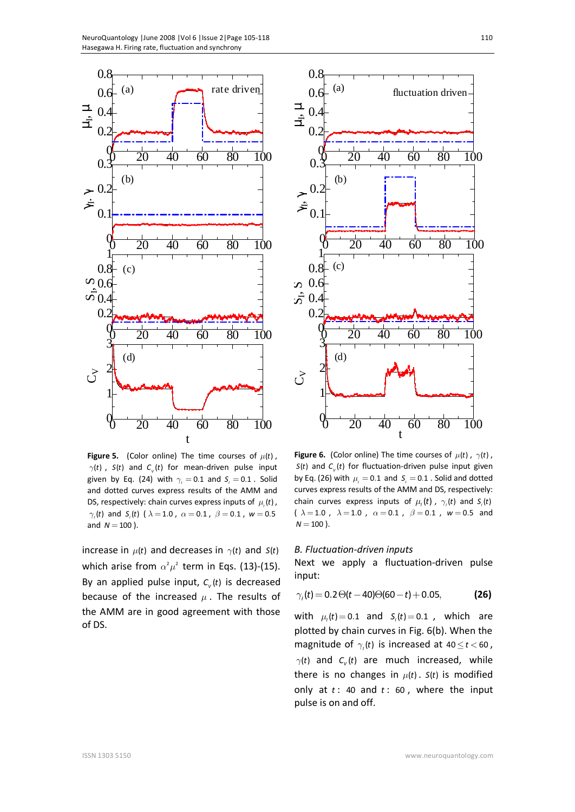

**Figure 5.** (Color online) The time courses of  $\mu(t)$ ,  $\gamma(t)$  ,  $S(t)$  and  $C_{v}(t)$  for mean-driven pulse input given by Eq. (24) with  $\gamma_i = 0.1$  and  $S_i = 0.1$ . Solid and dotted curves express results of the AMM and DS, respectively: chain curves express inputs of  $\mu_i(t)$ ,  $\gamma$ <sub>,</sub>(t) and S<sub>,</sub>(t) (  $\lambda = 1.0$  ,  $\alpha = 0.1$  ,  $\beta = 0.1$  ,  $w = 0.5$ and  $N = 100$ ).

increase in  $\mu(t)$  and decreases in  $\gamma(t)$  and  $S(t)$ which arise from  $\alpha^2 \mu^2$  term in Eqs. (13)-(15). By an applied pulse input,  $c_{v}(t)$  is decreased because of the increased  $\mu$ . The results of the AMM are in good agreement with those of DS.



**Figure 6.** (Color online) The time courses of  $\mu(t)$ ,  $\gamma(t)$ ,  $S(t)$  and  $C_{\nu}(t)$  for fluctuation-driven pulse input given by Eq. (26) with  $\mu_i = 0.1$  and  $S_i = 0.1$  . Solid and dotted curves express results of the AMM and DS, respectively: chain curves express inputs of  $\mu$ <sub>*t*</sub>(*t*),  $\gamma$ <sub>*i*</sub>(*t*) and *S*<sub>*i*</sub>(*t*) (  $\lambda = 1.0$  ,  $\lambda = 1.0$  ,  $\alpha = 0.1$  ,  $\beta = 0.1$  ,  $w = 0.5$  and  $N = 100$ ).

#### *B. Fluctuation-driven inputs*

Next we apply a fluctuation-driven pulse input:

$$
\gamma_t(t) = 0.2 \Theta(t - 40) \Theta(60 - t) + 0.05, \tag{26}
$$

with  $\mu_{i}$  (*t*) = 0.1 and  $S_{i}$  (*t*) = 0.1 , which are plotted by chain curves in Fig. 6(b). When the magnitude of  $\gamma$ , (*t*) is increased at 40  $\leq$  *t* < 60,  $\gamma(t)$  and  $C_{\nu}(t)$  are much increased, while there is no changes in  $\mu(t)$ .  $S(t)$  is modified only at *t* : 40 and *t* : 60 , where the input pulse is on and off.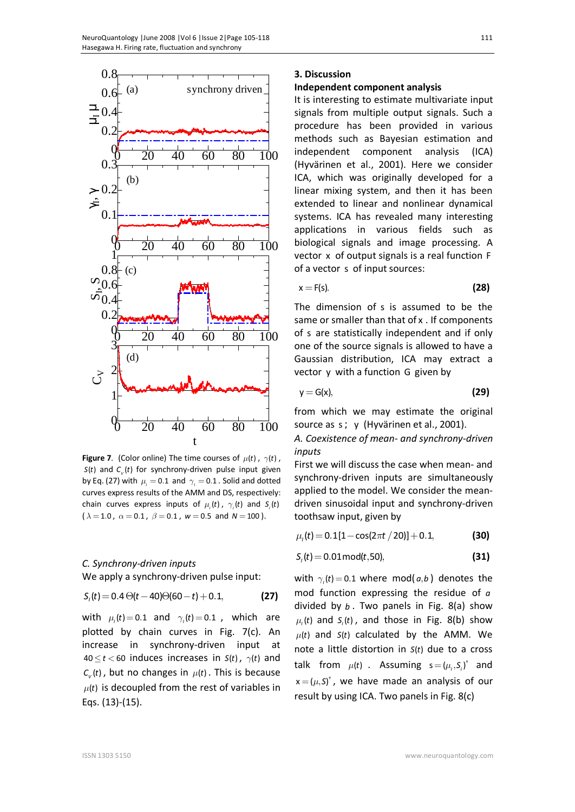

**Figure 7**. (Color online) The time courses of  $\mu(t)$ ,  $\gamma(t)$ ,  $S(t)$  and  $C_v(t)$  for synchrony-driven pulse input given by Eq. (27) with  $\mu_i = 0.1$  and  $\gamma_i = 0.1$ . Solid and dotted curves express results of the AMM and DS, respectively: chain curves express inputs of  $\mu_i(t)$ ,  $\gamma_i(t)$  and  $S_i(t)$  $(\lambda = 1.0, \ \alpha = 0.1, \ \beta = 0.1, \ w = 0.5 \text{ and } N = 100).$ 

### *C. Synchrony-driven inputs*

We apply a synchrony-driven pulse input:

$$
S_{t}(t) = 0.4 \Theta(t - 40) \Theta(60 - t) + 0.1, \tag{27}
$$

with  $\mu_i(t) = 0.1$  and  $\gamma_i(t) = 0.1$ , which are plotted by chain curves in Fig. 7(c). An increase in synchrony-driven input at  $40 \le t < 60$  induces increases in  $S(t)$ ,  $\gamma(t)$  and  $C_v(t)$ , but no changes in  $\mu(t)$ . This is because  $\mu(t)$  is decoupled from the rest of variables in Eqs. (13)-(15).

### **3. Discussion**

### **Independent component analysis**

It is interesting to estimate multivariate input signals from multiple output signals. Such a procedure has been provided in various methods such as Bayesian estimation and independent component analysis (ICA) (Hyvärinen et al., 2001). Here we consider ICA, which was originally developed for a linear mixing system, and then it has been extended to linear and nonlinear dynamical systems. ICA has revealed many interesting applications in various fields such as biological signals and image processing. A vector x of output signals is a real function F of a vector s of input sources:

$$
x = F(s). \tag{28}
$$

The dimension of s is assumed to be the same or smaller than that of x . If components of s are statistically independent and if only one of the source signals is allowed to have a Gaussian distribution, ICA may extract a vector y with a function G given by

$$
y = G(x), \tag{29}
$$

from which we may estimate the original source as s; y (Hyvärinen et al., 2001).

*A. Coexistence of mean- and synchrony-driven inputs*

First we will discuss the case when mean- and synchrony-driven inputs are simultaneously applied to the model. We consider the meandriven sinusoidal input and synchrony-driven toothsaw input, given by

 $\mu$ <sub>l</sub>(t) = 0.1[1 - cos(2 $\pi$ t / 20)] + 0.1, (30)

$$
S_{1}(t) = 0.01 \text{mod}(t, 50),
$$
 (31)

with  $\gamma_i(t) = 0.1$  where mod( $a, b$ ) denotes the mod function expressing the residue of *a* divided by *b* . Two panels in Fig. 8(a) show  $\mu$ <sub>,</sub> $(t)$  and  $S$ <sub>,</sub> $(t)$ , and those in Fig. 8(b) show  $\mu(t)$  and  $S(t)$  calculated by the AMM. We note a little distortion in  $S(t)$  due to a cross talk from  $\mu(t)$  . Assuming  $s = (\mu_i, S_i)^{\dagger}$  and  $\mathsf{x} = (\mu, \mathsf{S})^{\dagger}$ , we have made an analysis of our result by using ICA. Two panels in Fig. 8(c)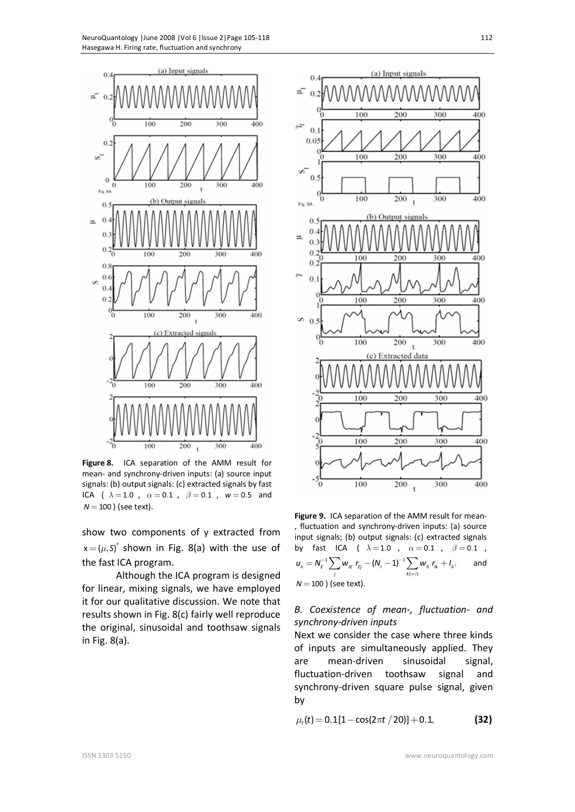

**Figure 8.** ICA separation of the AMM result for mean- and synchrony-driven inputs: (a) source input signals: (b) output signals: (c) extracted signals by fast ICA (  $\lambda = 1.0$  ,  $\alpha = 0.1$  ,  $\beta = 0.1$  ,  $w = 0.5$  and  $N = 100$  ) (see text).

show two components of y extracted from  $\mathsf{x} = (\mu, \mathsf{S})^{\dagger}$  shown in Fig. 8(a) with the use of the fast ICA program.

Although the ICA program is designed for linear, mixing signals, we have employed it for our qualitative discussion. We note that results shown in Fig. 8(c) fairly well reproduce the original, sinusoidal and toothsaw signals in Fig. 8(a).



**Figure 9.** ICA separation of the AMM result for mean- , fluctuation and synchrony-driven inputs: (a) source input signals; (b) output signals: (c) extracted signals by fast ICA (  $\lambda = 1.0$  ,  $\alpha = 0.1$  ,  $\beta = 0.1$  ,  $1 \sum_{i=1}^{n} (M_i - 1)^{-1}$  $\sum_{\mu} N_{\mu} = N_{\mu}^{-1} \sum_{j} W_{j\mu} r_{\mu j} - (N_{j} - 1)^{-1} \sum_{k(\neq i)} W_{j\mu} r_{j\mu} + I_{j\mu}$  $u_{ij} = N_{\epsilon}^{-1} \sum_{l} w_{ij} r_{\epsilon i} - (N_{i} - 1)^{-1} \sum_{l} w_{ij} r_{ik} + N_{i}$  $= N_{\varepsilon}^{-1} \sum_j w_{_{j\varepsilon}} r_{_{\varepsilon j}} - (N_{_I} - 1)^{-1} \sum_{k(\varepsilon j)} w_{_{jI}} r_{_{l k}} + I_{_{j l}}.$  and *N* = 100 ) (see text).

### *B. Coexistence of mean-, fluctuation- and synchrony-driven inputs*

Next we consider the case where three kinds of inputs are simultaneously applied. They are mean-driven sinusoidal signal, fluctuation-driven toothsaw signal and synchrony-driven square pulse signal, given by

$$
\mu_{1}(t) = 0.1[1 - \cos(2\pi t / 20)] + 0.1,
$$
 (32)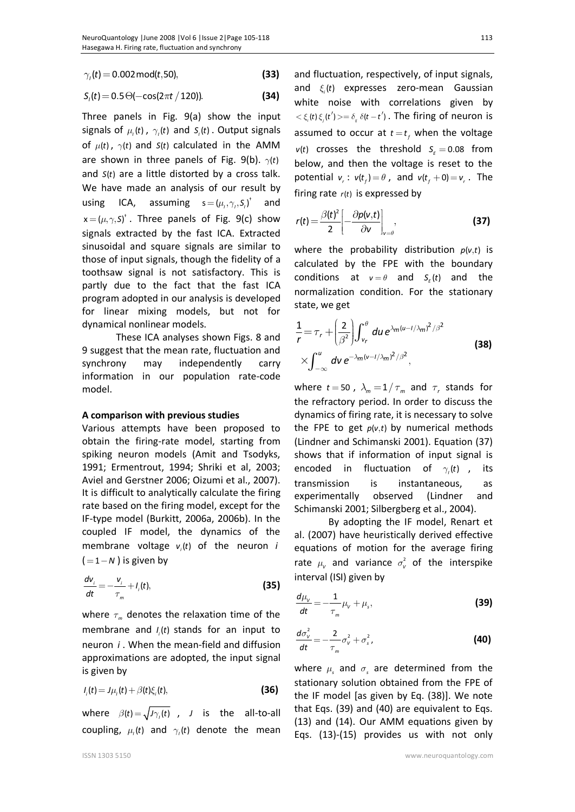$\gamma_i(t) = 0.002 \text{ mod}(t, 50),$  (33)

$$
S_{1}(t) = 0.5 \Theta(-\cos(2\pi t / 120)).
$$
 (34)

Three panels in Fig. 9(a) show the input signals of  $\mu$ <sub>*t*</sub>(*t*),  $\gamma$ <sub>*i*</sub>(*t*) and *S*<sub>*i*</sub>(*t*). Output signals of  $\mu(t)$ ,  $\gamma(t)$  and  $S(t)$  calculated in the AMM are shown in three panels of Fig. 9(b).  $\gamma(t)$ and *S*(*t*) are a little distorted by a cross talk. We have made an analysis of our result by using ICA, assuming  $s = (\mu_i, \gamma_i, S_i)^{\dagger}$  and  $\mathsf{x} = (\mu, \gamma, \mathsf{S})^{\dagger}$ . Three panels of Fig. 9(c) show signals extracted by the fast ICA. Extracted sinusoidal and square signals are similar to those of input signals, though the fidelity of a toothsaw signal is not satisfactory. This is partly due to the fact that the fast ICA program adopted in our analysis is developed for linear mixing models, but not for dynamical nonlinear models.

These ICA analyses shown Figs. 8 and 9 suggest that the mean rate, fluctuation and synchrony may independently carry information in our population rate-code model.

### **A comparison with previous studies**

Various attempts have been proposed to obtain the firing-rate model, starting from spiking neuron models (Amit and Tsodyks, 1991; Ermentrout, 1994; Shriki et al, 2003; Aviel and Gerstner 2006; Oizumi et al., 2007). It is difficult to analytically calculate the firing rate based on the firing model, except for the IF-type model (Burkitt, 2006a, 2006b). In the coupled IF model, the dynamics of the membrane voltage  $v_i(t)$  of the neuron *i*  $( = 1 - N)$  is given by

$$
\frac{dv_i}{dt} = -\frac{v_i}{\tau_m} + I_i(t),
$$
\n(35)

where  $\tau_m$  denotes the relaxation time of the membrane and  $I_i(t)$  stands for an input to neuron *i* . When the mean-field and diffusion approximations are adopted, the input signal is given by

$$
I_i(t) = J\mu_i(t) + \beta(t)\xi_i(t),
$$
\n(36)

where  $\beta(t) = \sqrt{J\gamma(t)}$ , *J* is the all-to-all coupling,  $\mu$ <sub>*t*</sub>(*t*) and  $\gamma$ <sub>*i*</sub>(*t*) denote the mean and fluctuation, respectively, of input signals, and  $\xi_i(t)$  expresses zero-mean Gaussian white noise with correlations given by  $<\xi_i(t)\xi_i(t')>=\delta_i\delta(t-t')$ . The firing of neuron is assumed to occur at  $t = t_f$  when the voltage  $v(t)$  crosses the threshold  $S_E = 0.08$  from below, and then the voltage is reset to the potential  $v_r$ :  $v(t_f) = \theta$ , and  $v(t_f + 0) = v_r$ . The firing rate  $r(t)$  is expressed by

$$
r(t) = \frac{\beta(t)^2}{2} \left[ -\frac{\partial p(v,t)}{\partial v} \right]_{v=\theta},
$$
 (37)

where the probability distribution  $p(v,t)$  is calculated by the FPE with the boundary conditions at  $v = \theta$  and  $S_{\varepsilon}(t)$  and the normalization condition. For the stationary state, we get

$$
\frac{1}{r} = \tau_r + \left(\frac{2}{\beta^2}\right) \int_{v_r}^{\theta} du \, e^{\lambda_m (u - 1/\lambda_m)^2/\beta^2}
$$
\n
$$
\times \int_{-\infty}^{u} dv \, e^{-\lambda_m (v - 1/\lambda_m)^2/\beta^2},
$$
\n(38)

where  $t = 50$ ,  $\lambda_m = 1/\tau_m$  and  $\tau_r$  stands for the refractory period. In order to discuss the dynamics of firing rate, it is necessary to solve the FPE to get  $p(v,t)$  by numerical methods (Lindner and Schimanski 2001). Equation (37) shows that if information of input signal is encoded in fluctuation of  $\gamma_i(t)$ , its transmission is instantaneous, as experimentally observed (Lindner and Schimanski 2001; Silbergberg et al., 2004).

By adopting the IF model, Renart et al. (2007) have heuristically derived effective equations of motion for the average firing rate  $\mu_v$  and variance  $\sigma_v^2$  of the interspike interval (ISI) given by

$$
\frac{d\mu_{\nu}}{dt} = -\frac{1}{\tau_m} \mu_{\nu} + \mu_s,
$$
\n(39)

$$
\frac{d\sigma_v^2}{dt} = -\frac{2}{\tau_m} \sigma_v^2 + \sigma_s^2,
$$
\n(40)

where  $\mu_s$  and  $\sigma_s$  are determined from the stationary solution obtained from the FPE of the IF model [as given by Eq. (38)]. We note that Eqs. (39) and (40) are equivalent to Eqs. (13) and (14). Our AMM equations given by Eqs. (13)-(15) provides us with not only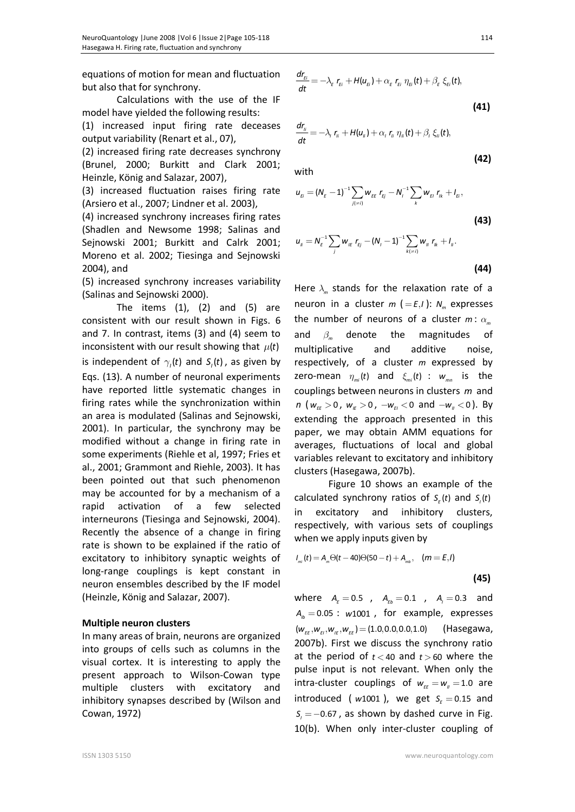equations of motion for mean and fluctuation but also that for synchrony.

Calculations with the use of the IF model have yielded the following results:

(1) increased input firing rate deceases output variability (Renart et al., 07),

(2) increased firing rate decreases synchrony (Brunel, 2000; Burkitt and Clark 2001; Heinzle, König and Salazar, 2007),

(3) increased fluctuation raises firing rate (Arsiero et al., 2007; Lindner et al. 2003),

(4) increased synchrony increases firing rates (Shadlen and Newsome 1998; Salinas and Sejnowski 2001; Burkitt and Calrk 2001; Moreno et al. 2002; Tiesinga and Sejnowski 2004), and

(5) increased synchrony increases variability (Salinas and Sejnowski 2000).

The items  $(1)$ ,  $(2)$  and  $(5)$  are consistent with our result shown in Figs. 6 and 7. In contrast, items (3) and (4) seem to inconsistent with our result showing that  $\mu(t)$ is independent of  $\gamma$ , (*t*) and  $S$ , (*t*), as given by Eqs. (13). A number of neuronal experiments have reported little systematic changes in firing rates while the synchronization within an area is modulated (Salinas and Sejnowski, 2001). In particular, the synchrony may be modified without a change in firing rate in some experiments (Riehle et al, 1997; Fries et al., 2001; Grammont and Riehle, 2003). It has been pointed out that such phenomenon may be accounted for by a mechanism of a rapid activation of a few selected interneurons (Tiesinga and Sejnowski, 2004). Recently the absence of a change in firing rate is shown to be explained if the ratio of excitatory to inhibitory synaptic weights of long-range couplings is kept constant in neuron ensembles described by the IF model (Heinzle, König and Salazar, 2007).

### **Multiple neuron clusters**

In many areas of brain, neurons are organized into groups of cells such as columns in the visual cortex. It is interesting to apply the present approach to Wilson-Cowan type multiple clusters with excitatory and inhibitory synapses described by (Wilson and Cowan, 1972)

$$
\frac{dr_{\scriptscriptstyle{Ei}}}{dt} = -\lambda_{\scriptscriptstyle{E}} r_{\scriptscriptstyle{Ei}} + H(u_{\scriptscriptstyle{Ei}}) + \alpha_{\scriptscriptstyle{E}} r_{\scriptscriptstyle{Ei}} \eta_{\scriptscriptstyle{Ei}}(t) + \beta_{\scriptscriptstyle{E}} \xi_{\scriptscriptstyle{Ei}}(t),
$$
\n(41)

$$
\frac{dr_{ii}}{dt}=-\lambda_i r_{ii}+H(u_{ii})+\alpha_i r_{ii} \eta_i(t)+\beta_i \xi_i(t),
$$

with

$$
u_{E} = (N_E - 1)^{-1} \sum_{j(\neq i)} w_{E} r_{Ej} - N_i^{-1} \sum_k w_{E} r_{ik} + l_{E},
$$
\n(43)

$$
u_{ij} = N_E^{-1} \sum_j w_{ij} r_{ij} - (N_j - 1)^{-1} \sum_{k(\neq i)} w_{ij} r_{ik} + I_{ij}.
$$
\n(44)

Here  $\lambda_m$  stands for the relaxation rate of a neuron in a cluster  $m$  (= $E, I$ ):  $N_m$  expresses the number of neurons of a cluster  $m: \alpha_m$ and  $\beta_m$  denote the magnitudes of multiplicative and additive noise, respectively, of a cluster *m* expressed by zero-mean  $\eta_{m}$  *t*) and  $\xi_{m}$  *t*) :  $w_{mn}$  is the couplings between neurons in clusters *m* and *n* ( $w_{\text{ff}} > 0$ ,  $w_{\text{ff}} > 0$ ,  $-w_{\text{ff}} < 0$  and  $-w_{\text{ff}} < 0$ ). By extending the approach presented in this paper, we may obtain AMM equations for averages, fluctuations of local and global variables relevant to excitatory and inhibitory clusters (Hasegawa, 2007b).

Figure 10 shows an example of the calculated synchrony ratios of  $S_{\varepsilon}$  (*t*) and  $S_{\iota}$  (*t*) in excitatory and inhibitory clusters, respectively, with various sets of couplings when we apply inputs given by

$$
I_{m}(t) = A_{m} \Theta(t - 40) \Theta(50 - t) + A_{m b}, \quad (m = E, I)
$$

$$
(45)
$$

where  $A_F = 0.5$ ,  $A_{Fb} = 0.1$ ,  $A_i = 0.3$  and  $A<sub>1b</sub> = 0.05$ :  $w1001$ , for example, expresses  $(w_{\varepsilon E}, w_{\varepsilon I}, w_{\varepsilon E}, w_{\varepsilon E}) = (1.0, 0.0, 0.0, 1.0)$  (Hasegawa, 2007b). First we discuss the synchrony ratio at the period of  $t < 40$  and  $t > 60$  where the pulse input is not relevant. When only the intra-cluster couplings of  $w_{ee} = w_u = 1.0$  are  $introduced$  ( $w1001$ ), we get  $S<sub>E</sub> = 0.15$  and  $S_i = -0.67$ , as shown by dashed curve in Fig. 10(b). When only inter-cluster coupling of

**(42)**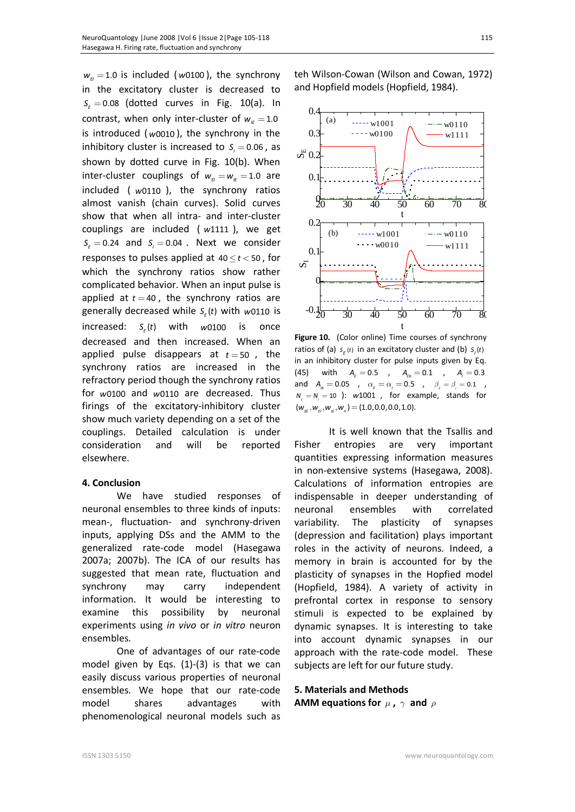$w_{F} = 1.0$  is included (*w*0100), the synchrony in the excitatory cluster is decreased to  $S_{\varepsilon} = 0.08$  (dotted curves in Fig. 10(a). In contrast, when only inter-cluster of  $w_a = 1.0$ is introduced ( *w*0010 ), the synchrony in the inhibitory cluster is increased to  $S_i = 0.06$ , as shown by dotted curve in Fig. 10(b). When inter-cluster couplings of  $w_{\mu} = w_{\mu} = 1.0$  are included ( *w*0110 ), the synchrony ratios almost vanish (chain curves). Solid curves show that when all intra- and inter-cluster couplings are included ( *w*1111 ), we get  $S_{\varepsilon} = 0.24$  and  $S_{\iota} = 0.04$ . Next we consider responses to pulses applied at  $40 \le t < 50$ , for which the synchrony ratios show rather complicated behavior. When an input pulse is applied at  $t = 40$ , the synchrony ratios are generally decreased while  $S_{\varepsilon}$  (*t*) with *w*0110 is  $\text{increased: } S_{\varepsilon}(t)$  with  $w$ 0100 is once decreased and then increased. When an applied pulse disappears at  $t = 50$ , the synchrony ratios are increased in the refractory period though the synchrony ratios for *w*0100 and *w*0110 are decreased. Thus firings of the excitatory-inhibitory cluster show much variety depending on a set of the couplings. Detailed calculation is under consideration and will be reported elsewhere.

### **4. Conclusion**

We have studied responses of neuronal ensembles to three kinds of inputs: mean-, fluctuation- and synchrony-driven inputs, applying DSs and the AMM to the generalized rate-code model (Hasegawa 2007a; 2007b). The ICA of our results has suggested that mean rate, fluctuation and synchrony may carry independent information. It would be interesting to examine this possibility by neuronal experiments using *in vivo* or *in vitro* neuron ensembles.

One of advantages of our rate-code model given by Eqs. (1)-(3) is that we can easily discuss various properties of neuronal ensembles. We hope that our rate-code model shares advantages with phenomenological neuronal models such as

teh Wilson-Cowan (Wilson and Cowan, 1972) and Hopfield models (Hopfield, 1984).



**Figure 10.** (Color online) Time courses of synchrony ratios of (a)  $s_{E}(t)$  in an excitatory cluster and (b)  $S_{I}(t)$ in an inhibitory cluster for pulse inputs given by Eq. (45) with  $A_{\varepsilon} = 0.5$  ,  $A_{\varepsilon b} = 0.1$  ,  $A_{\varepsilon} = 0.3$ and  $A_{\mu} = 0.05$  ,  $\alpha_{\varepsilon} = \alpha_{\iota} = 0.5$  ,  $\beta_{\varepsilon} = \beta_{\iota} = 0.1$  ,  $N_{\rm g} = N_{\rm g} = 10$  ):  $w1001$  , for example, stands for  $(w_{\mu}^k, w_{\mu}^k, w_{\mu}^k, w_{\mu}) = (1.0, 0.0, 0.0, 1.0).$ 

It is well known that the Tsallis and Fisher entropies are very important quantities expressing information measures in non-extensive systems (Hasegawa, 2008). Calculations of information entropies are indispensable in deeper understanding of neuronal ensembles with correlated variability. The plasticity of synapses (depression and facilitation) plays important roles in the activity of neurons. Indeed, a memory in brain is accounted for by the plasticity of synapses in the Hopfied model (Hopfield, 1984). A variety of activity in prefrontal cortex in response to sensory stimuli is expected to be explained by dynamic synapses. It is interesting to take into account dynamic synapses in our approach with the rate-code model. These subjects are left for our future study.

### **5. Materials and Methods**

**AMM** equations for  $\mu$  ,  $\gamma$  and  $\rho$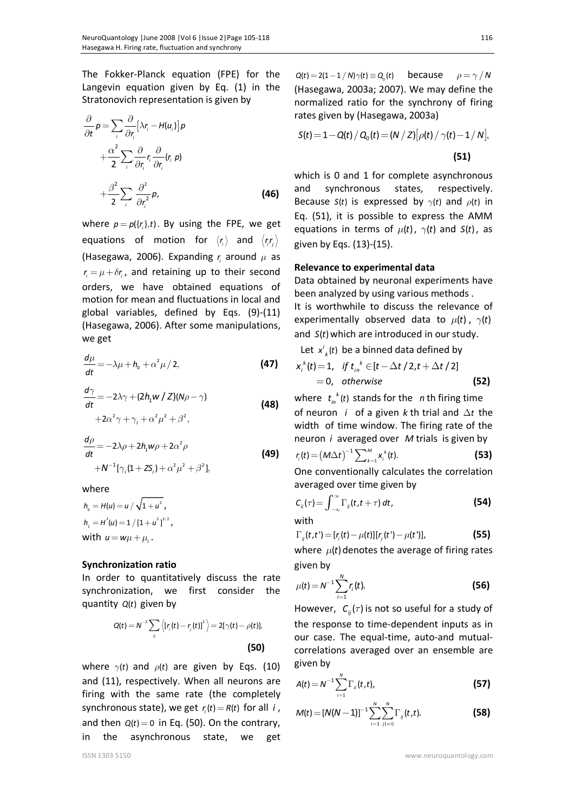The Fokker-Planck equation (FPE) for the Langevin equation given by Eq. (1) in the Stratonovich representation is given by

$$
\frac{\partial}{\partial t} p = \sum_{i} \frac{\partial}{\partial r_{i}} \left[ \lambda r_{i} - H(u_{i}) \right] p
$$
  
+  $\frac{\alpha^{2}}{2} \sum_{i} \frac{\partial}{\partial r_{i}} r_{i} \frac{\partial}{\partial r_{i}} (r_{i} p)$   
+  $\frac{\beta^{2}}{2} \sum_{i} \frac{\partial^{2}}{\partial r_{i}^{2}} p_{i}$  (46)

where  $p = p({r_i},t)$ . By using the FPE, we get equations of motion for  $\langle r_i \rangle$  and  $\langle r_i r_j \rangle$ (Hasegawa, 2006). Expanding *<sup>i</sup> r* around *m* as  $r = \mu + \delta r$ , and retaining up to their second orders, we have obtained equations of motion for mean and fluctuations in local and global variables, defined by Eqs. (9)-(11) (Hasegawa, 2006). After some manipulations, we get

$$
\frac{d\mu}{dt} = -\lambda\mu + h_0 + \alpha^2\mu / 2,
$$
 (47)

$$
\frac{d\gamma}{dt} = -2\lambda\gamma + (2h_1w / Z)(N\rho - \gamma)
$$
  
+2\alpha^2\gamma + \gamma\_1 + \alpha^2\mu^2 + \beta^2, (48)

$$
\frac{d\rho}{dt} = -2\lambda\rho + 2h_1w\rho + 2\alpha^2\rho
$$
  
+N<sup>-1</sup>[\gamma<sub>1</sub>(1+ZS<sub>1</sub>) + \alpha^2\mu^2 + \beta^2], (49)

where

$$
h_0 = H(u) = u / \sqrt{1 + u^2},
$$
  
\n
$$
h_1 = H'(u) = 1 / [1 + u^2]^{3/2},
$$
  
\nwith  $u = w\mu + \mu_1$ .

### **Synchronization ratio**

In order to quantitatively discuss the rate synchronization, we first consider the quantity  $Q(t)$  given by

$$
Q(t) = N^{-2} \sum_{ij} \langle [r_j(t) - r_j(t)]^2 \rangle = 2[\gamma(t) - \rho(t)],
$$
\n(50)

where  $\gamma(t)$  and  $\rho(t)$  are given by Eqs. (10) and (11), respectively. When all neurons are firing with the same rate (the completely synchronous state), we get  $r_i(t) = R(t)$  for all *i*, and then  $Q(t) = 0$  in Eq. (50). On the contrary, in the asynchronous state, we get

 $Q(t) = 2(1-1/N)\gamma(t) \equiv Q_{\alpha}(t)$  because  $\rho = \gamma/N$ (Hasegawa, 2003a; 2007). We may define the normalized ratio for the synchrony of firing rates given by (Hasegawa, 2003a)

$$
S(t) = 1 - Q(t) / Q_0(t) = (N / Z) [\rho(t) / \gamma(t) - 1 / N],
$$
\n(51)

which is 0 and 1 for complete asynchronous and synchronous states, respectively. Because *S*(*t*) is expressed by  $\gamma$ (*t*) and  $\rho$ (*t*) in Eq. (51), it is possible to express the AMM equations in terms of  $\mu(t)$ ,  $\gamma(t)$  and  $S(t)$ , as given by Eqs. (13)-(15).

### **Relevance to experimental data**

Data obtained by neuronal experiments have been analyzed by using various methods . It is worthwhile to discuss the relevance of experimentally observed data to  $\mu(t)$ ,  $\gamma(t)$ and  $S(t)$  which are introduced in our study.

Let  $x^i_k(t)$  be a binned data defined by

$$
x_i^k(t) = 1, \quad \text{if } t_{in}^k \in [t - \Delta t/2, t + \Delta t/2]
$$
  
= 0, otherwise\n(52)

where  $t_{in}^{k}(t)$  stands for the *n* th firing time of neuron *i* of a given *k* th trial and  $\Delta t$  the width of time window. The firing rate of the neuron *i* averaged over *M* trials is given by

$$
r_{i}(t) = (M\Delta t)^{-1} \sum_{k=1}^{M} x_{i}^{k}(t).
$$
 (53)

One conventionally calculates the correlation averaged over time given by

$$
C_{ij}(\tau) = \int_{-\infty}^{\infty} \Gamma_{ij}(t, t + \tau) dt,
$$
 (54)

with

$$
\Gamma_{ij}(t,t') = [r_i(t) - \mu(t)][r_j(t') - \mu(t')],
$$
\n(55)

where  $\mu(t)$  denotes the average of firing rates given by

$$
\mu(t) = N^{-1} \sum_{i=1}^{N} r_i(t).
$$
 (56)

However,  $C_i(\tau)$  is not so useful for a study of the response to time-dependent inputs as in our case. The equal-time, auto-and mutualcorrelations averaged over an ensemble are given by

$$
A(t) = N^{-1} \sum_{i=1}^{N} \Gamma_{ii}(t, t),
$$
\n(57)

$$
M(t) = [N(N-1)]^{-1} \sum_{i=1}^{N} \sum_{j(\neq i)}^{N} \Gamma_{ij}(t, t).
$$
 (58)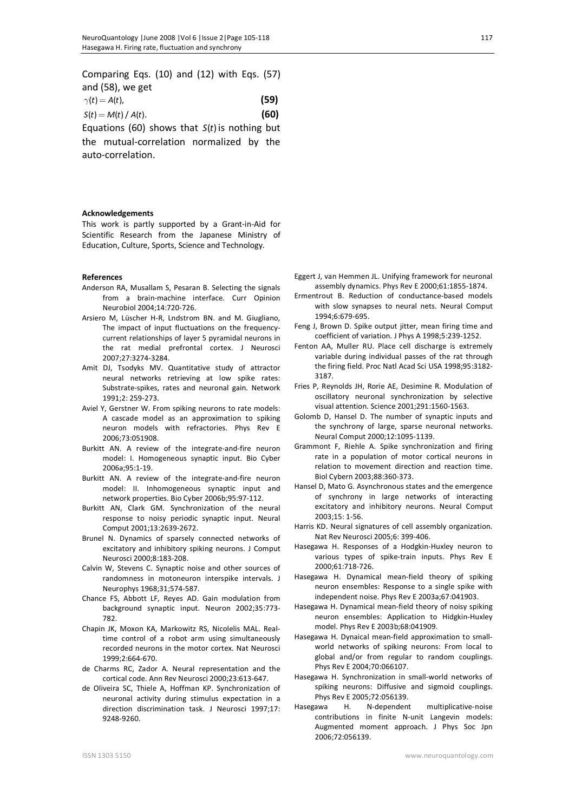Comparing Eqs. (10) and (12) with Eqs. (57) and (58), we get

| $\gamma(t) = A(t)$ ,   | (59) |
|------------------------|------|
| $S(t) = M(t) / A(t)$ . | (60) |
|                        |      |

Equations (60) shows that  $S(t)$  is nothing but the mutual-correlation normalized by the auto-correlation.

### **Acknowledgements**

This work is partly supported by a Grant-in-Aid for Scientific Research from the Japanese Ministry of Education, Culture, Sports, Science and Technology.

#### **References**

- Anderson RA, Musallam S, Pesaran B. Selecting the signals from a brain-machine interface. Curr Opinion Neurobiol 2004;14:720-726.
- Arsiero M, Lüscher H-R, Lndstrom BN. and M. Giugliano, The impact of input fluctuations on the frequencycurrent relationships of layer 5 pyramidal neurons in the rat medial prefrontal cortex. J Neurosci 2007;27:3274-3284.
- Amit DJ, Tsodyks MV. Quantitative study of attractor neural networks retrieving at low spike rates: Substrate-spikes, rates and neuronal gain. Network 1991;2: 259-273.
- Aviel Y, Gerstner W. From spiking neurons to rate models: A cascade model as an approximation to spiking neuron models with refractories. Phys Rev E 2006;73:051908.
- Burkitt AN. A review of the integrate-and-fire neuron model: I. Homogeneous synaptic input. Bio Cyber 2006a;95:1-19.
- Burkitt AN. A review of the integrate-and-fire neuron model: II. Inhomogeneous synaptic input and network properties. Bio Cyber 2006b;95:97-112.
- Burkitt AN, Clark GM. Synchronization of the neural response to noisy periodic synaptic input. Neural Comput 2001;13:2639-2672.
- Brunel N. Dynamics of sparsely connected networks of excitatory and inhibitory spiking neurons. J Comput Neurosci 2000;8:183-208.
- Calvin W, Stevens C. Synaptic noise and other sources of randomness in motoneuron interspike intervals. J Neurophys 1968;31;574-587.
- Chance FS, Abbott LF, Reyes AD. Gain modulation from background synaptic input. Neuron 2002;35:773- 782.
- Chapin JK, Moxon KA, Markowitz RS, Nicolelis MAL. Realtime control of a robot arm using simultaneously recorded neurons in the motor cortex. Nat Neurosci 1999;2:664-670.
- de Charms RC, Zador A. Neural representation and the cortical code. Ann Rev Neurosci 2000;23:613-647.
- de Oliveira SC, Thiele A, Hoffman KP. Synchronization of neuronal activity during stimulus expectation in a direction discrimination task. J Neurosci 1997;17: 9248-9260.
- Eggert J, van Hemmen JL. Unifying framework for neuronal assembly dynamics. Phys Rev E 2000;61:1855-1874.
- Ermentrout B. Reduction of conductance-based models with slow synapses to neural nets. Neural Comput 1994;6:679-695.
- Feng J, Brown D. Spike output jitter, mean firing time and coefficient of variation. J Phys A 1998;5:239-1252.
- Fenton AA, Muller RU. Place cell discharge is extremely variable during individual passes of the rat through the firing field. Proc Natl Acad Sci USA 1998;95:3182- 3187.
- Fries P, Reynolds JH, Rorie AE, Desimine R. Modulation of oscillatory neuronal synchronization by selective visual attention. Science 2001;291:1560-1563.
- Golomb D, Hansel D. The number of synaptic inputs and the synchrony of large, sparse neuronal networks. Neural Comput 2000;12:1095-1139.
- Grammont F, Riehle A. Spike synchronization and firing rate in a population of motor cortical neurons in relation to movement direction and reaction time. Biol Cybern 2003;88:360-373.
- Hansel D, Mato G. Asynchronous states and the emergence of synchrony in large networks of interacting excitatory and inhibitory neurons. Neural Comput 2003;15: 1-56.
- Harris KD. Neural signatures of cell assembly organization. Nat Rev Neurosci 2005;6: 399-406.
- Hasegawa H. Responses of a Hodgkin-Huxley neuron to various types of spike-train inputs. Phys Rev E 2000;61:718-726.
- Hasegawa H. Dynamical mean-field theory of spiking neuron ensembles: Response to a single spike with independent noise. Phys Rev E 2003a;67:041903.
- Hasegawa H. Dynamical mean-field theory of noisy spiking neuron ensembles: Application to Hidgkin-Huxley model. Phys Rev E 2003b;68:041909.
- Hasegawa H. Dynaical mean-field approximation to smallworld networks of spiking neurons: From local to global and/or from regular to random couplings. Phys Rev E 2004;70:066107.
- Hasegawa H. Synchronization in small-world networks of spiking neurons: Diffusive and sigmoid couplings. Phys Rev E 2005;72:056139.
- Hasegawa H. N-dependent multiplicative-noise contributions in finite N-unit Langevin models: Augmented moment approach. J Phys Soc Jpn 2006;72:056139.